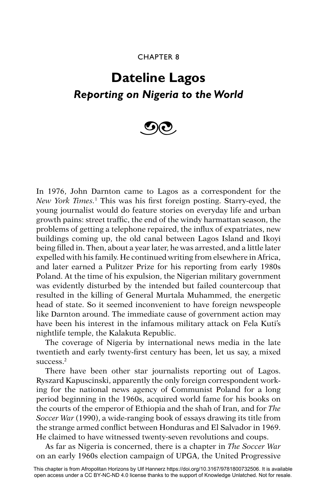## CHAPTER 8

## **Dateline Lagos** *Reporting on Nigeria to the World*



In 1976, John Darnton came to Lagos as a correspondent for the New York Times.<sup>1</sup> This was his first foreign posting. Starry-eyed, the young journalist would do feature stories on everyday life and urban growth pains: street traffic, the end of the windy harmattan season, the problems of getting a telephone repaired, the influx of expatriates, new buildings coming up, the old canal between Lagos Island and Ikoyi being filled in. Then, about a year later, he was arrested, and a little later expelled with his family. He continued writing from elsewhere in Africa, and later earned a Pulitzer Prize for his reporting from early 1980s Poland. At the time of his expulsion, the Nigerian military government was evidently disturbed by the intended but failed countercoup that resulted in the killing of General Murtala Muhammed, the energetic head of state. So it seemed inconvenient to have foreign newspeople like Darnton around. The immediate cause of government action may have been his interest in the infamous military attack on Fela Kuti's nightlife temple, the Kalakuta Republic.

The coverage of Nigeria by international news media in the late twentieth and early twenty-first century has been, let us say, a mixed success.<sup>2</sup>

There have been other star journalists reporting out of Lagos. Ryszard Kapuscinski, apparently the only foreign correspondent working for the national news agency of Communist Poland for a long period beginning in the 1960s, acquired world fame for his books on the courts of the emperor of Ethiopia and the shah of Iran, and for *The Soccer War* (1990), a wide-ranging book of essays drawing its title from the strange armed conflict between Honduras and El Salvador in 1969. He claimed to have witnessed twenty-seven revolutions and coups.

As far as Nigeria is concerned, there is a chapter in *The Soccer War* on an early 1960s election campaign of UPGA, the United Progressive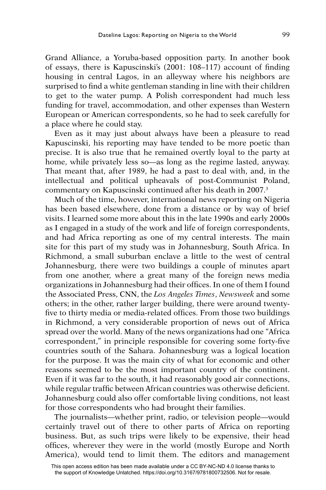Grand Alliance, a Yoruba-based opposition party. In another book of essays, there is Kapuscinski's  $(2001: 108-117)$  account of finding housing in central Lagos, in an alleyway where his neighbors are surprised to find a white gentleman standing in line with their children to get to the water pump. A Polish correspondent had much less funding for travel, accommodation, and other expenses than Western European or American correspondents, so he had to seek carefully for a place where he could stay.

Even as it may just about always have been a pleasure to read Kapuscinski, his reporting may have tended to be more poetic than precise. It is also true that he remained overtly loyal to the party at home, while privately less so—as long as the regime lasted, anyway. That meant that, after 1989, he had a past to deal with, and, in the intellectual and political upheavals of post-Communist Poland, commentary on Kapuscinski continued after his death in 2007.3

Much of the time, however, international news reporting on Nigeria has been based elsewhere, done from a distance or by way of brief visits. I learned some more about this in the late 1990s and early 2000s as I engaged in a study of the work and life of foreign correspondents, and had Africa reporting as one of my central interests. The main site for this part of my study was in Johannesburg, South Africa. In Richmond, a small suburban enclave a little to the west of central Johannesburg, there were two buildings a couple of minutes apart from one another, where a great many of the foreign news media organizations in Johannesburg had their offices. In one of them I found the Associated Press, CNN, the *Los Angeles Times*, *Newsweek* and some others; in the other, rather larger building, there were around twentyfive to thirty media or media-related offices. From those two buildings in Richmond, a very considerable proportion of news out of Africa spread over the world. Many of the news organizations had one "Africa correspondent," in principle responsible for covering some forty-five countries south of the Sahara. Johannesburg was a logical location for the purpose. It was the main city of what for economic and other reasons seemed to be the most important country of the continent. Even if it was far to the south, it had reasonably good air connections, while regular traffic between African countries was otherwise deficient. Johannesburg could also offer comfortable living conditions, not least for those correspondents who had brought their families.

The journalists—whether print, radio, or television people—would certainly travel out of there to other parts of Africa on reporting business. But, as such trips were likely to be expensive, their head offices, wherever they were in the world (mostly Europe and North America), would tend to limit them. The editors and management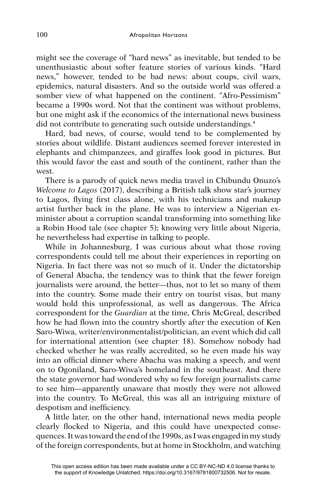might see the coverage of "hard news" as inevitable, but tended to be unenthusiastic about softer feature stories of various kinds. "Hard news," however, tended to be bad news: about coups, civil wars, epidemics, natural disasters. And so the outside world was offered a somber view of what happened on the continent. "Afro-Pessimism" became a 1990s word. Not that the continent was without problems, but one might ask if the economics of the international news business did not contribute to generating such outside understandings.<sup>4</sup>

Hard, bad news, of course, would tend to be complemented by stories about wildlife. Distant audiences seemed forever interested in elephants and chimpanzees, and giraffes look good in pictures. But this would favor the east and south of the continent, rather than the west.

There is a parody of quick news media travel in Chibundu Onuzo's *Welcome to Lagos* (2017), describing a British talk show star's journey to Lagos, flying first class alone, with his technicians and makeup artist further back in the plane. He was to interview a Nigerian exminister about a corruption scandal transforming into something like a Robin Hood tale (see chapter 5); knowing very little about Nigeria, he nevertheless had expertise in talking to people.

While in Johannesburg, I was curious about what those roving correspondents could tell me about their experiences in reporting on Nigeria. In fact there was not so much of it. Under the dictatorship of General Abacha, the tendency was to think that the fewer foreign journalists were around, the better—thus, not to let so many of them into the country. Some made their entry on tourist visas, but many would hold this unprofessional, as well as dangerous. The Africa correspondent for the *Guardian* at the time, Chris McGreal, described how he had flown into the country shortly after the execution of Ken Saro-Wiwa, writer/environmentalist/politician, an event which did call for international attention (see chapter 18). Somehow nobody had checked whether he was really accredited, so he even made his way into an official dinner where Abacha was making a speech, and went on to Ogoniland, Saro-Wiwa's homeland in the southeast. And there the state governor had wondered why so few foreign journalists came to see him—apparently unaware that mostly they were not allowed into the country. To McGreal, this was all an intriguing mixture of despotism and inefficiency.

A little later, on the other hand, international news media people clearly flocked to Nigeria, and this could have unexpected consequences. It was toward the end of the 1990s, as I was engaged in my study of the foreign correspondents, but at home in Stockholm, and watching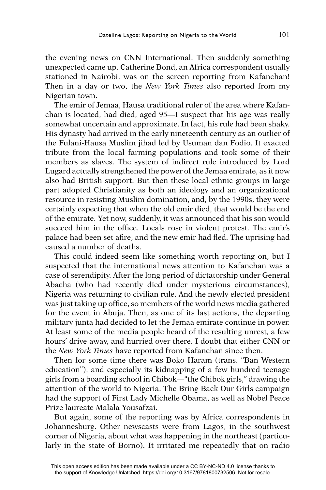the evening news on CNN International. Then suddenly something unexpected came up. Catherine Bond, an Africa correspondent usually stationed in Nairobi, was on the screen reporting from Kafanchan! Then in a day or two, the *New York Times* also reported from my Nigerian town.

The emir of Jemaa, Hausa traditional ruler of the area where Kafanchan is located, had died, aged 95—I suspect that his age was really somewhat uncertain and approximate. In fact, his rule had been shaky. His dynasty had arrived in the early nineteenth century as an outlier of the Fulani-Hausa Muslim jihad led by Usuman dan Fodio. It exacted tribute from the local farming populations and took some of their members as slaves. The system of indirect rule introduced by Lord Lugard actually strengthened the power of the Jemaa emirate, as it now also had British support. But then these local ethnic groups in large part adopted Christianity as both an ideology and an organizational resource in resisting Muslim domination, and, by the 1990s, they were certainly expecting that when the old emir died, that would be the end of the emirate. Yet now, suddenly, it was announced that his son would succeed him in the office. Locals rose in violent protest. The emir's palace had been set afire, and the new emir had fled. The uprising had caused a number of deaths.

This could indeed seem like something worth reporting on, but I suspected that the international news attention to Kafanchan was a case of serendipity. After the long period of dictatorship under General Abacha (who had recently died under mysterious circumstances), Nigeria was returning to civilian rule. And the newly elected president was just taking up office, so members of the world news media gathered for the event in Abuja. Then, as one of its last actions, the departing military junta had decided to let the Jemaa emirate continue in power. At least some of the media people heard of the resulting unrest, a few hours' drive away, and hurried over there. I doubt that either CNN or the *New York Times* have reported from Kafanchan since then.

Then for some time there was Boko Haram (trans. "Ban Western education"), and especially its kidnapping of a few hundred teenage girls from a boarding school in Chibok—"the Chibok girls," drawing the attention of the world to Nigeria. The Bring Back Our Girls campaign had the support of First Lady Michelle Obama, as well as Nobel Peace Prize laureate Malala Yousafzai.

But again, some of the reporting was by Africa correspondents in Johannesburg. Other newscasts were from Lagos, in the southwest corner of Nigeria, about what was happening in the northeast (particularly in the state of Borno). It irritated me repeatedly that on radio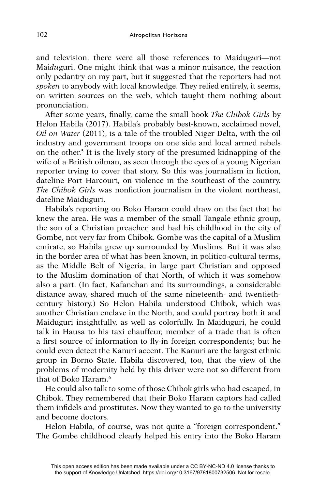and television, there were all those references to Maidu*gu*ri—not Mai*du*guri. One might think that was a minor nuisance, the reaction only pedantry on my part, but it suggested that the reporters had not *spoken* to anybody with local knowledge. They relied entirely, it seems, on written sources on the web, which taught them nothing about pronunciation.

After some years, finally, came the small book *The Chibok Girls* by Helon Habila (2017). Habila's probably best-known, acclaimed novel, *Oil on Water* (2011), is a tale of the troubled Niger Delta, with the oil industry and government troops on one side and local armed rebels on the other.5 It is the lively story of the presumed kidnapping of the wife of a British oilman, as seen through the eyes of a young Nigerian reporter trying to cover that story. So this was journalism in fiction, dateline Port Harcourt, on violence in the southeast of the country. *The Chibok Girls* was nonfiction journalism in the violent northeast, dateline Maiduguri.

Habila's reporting on Boko Haram could draw on the fact that he knew the area. He was a member of the small Tangale ethnic group, the son of a Christian preacher, and had his childhood in the city of Gombe, not very far from Chibok. Gombe was the capital of a Muslim emirate, so Habila grew up surrounded by Muslims. But it was also in the border area of what has been known, in politico-cultural terms, as the Middle Belt of Nigeria, in large part Christian and opposed to the Muslim domination of that North, of which it was somehow also a part. (In fact, Kafanchan and its surroundings, a considerable distance away, shared much of the same nineteenth- and twentiethcentury history.) So Helon Habila understood Chibok, which was another Christian enclave in the North, and could portray both it and Maiduguri insightfully, as well as colorfully. In Maiduguri, he could talk in Hausa to his taxi chauffeur, member of a trade that is often a first source of information to fly-in foreign correspondents; but he could even detect the Kanuri accent. The Kanuri are the largest ethnic group in Borno State. Habila discovered, too, that the view of the problems of modernity held by this driver were not so different from that of Boko Haram.6

He could also talk to some of those Chibok girls who had escaped, in Chibok. They remembered that their Boko Haram captors had called them infidels and prostitutes. Now they wanted to go to the university and become doctors.

Helon Habila, of course, was not quite a "foreign correspondent." The Gombe childhood clearly helped his entry into the Boko Haram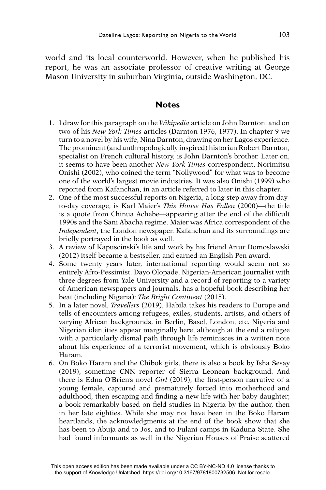world and its local counterworld. However, when he published his report, he was an associate professor of creative writing at George Mason University in suburban Virginia, outside Washington, DC.

## **Notes**

- 1. I draw for this paragraph on the *Wikipedia* article on John Darnton, and on two of his *New York Times* articles (Darnton 1976, 1977). In chapter 9 we turn to a novel by his wife, Nina Darnton, drawing on her Lagos experience. The prominent (and anthropologically inspired) historian Robert Darnton, specialist on French cultural history, is John Darnton's brother. Later on, it seems to have been another *New York Times* correspondent, Norimitsu Onishi (2002), who coined the term "Nollywood" for what was to become one of the world's largest movie industries. It was also Onishi (1999) who reported from Kafanchan, in an article referred to later in this chapter.
- 2. One of the most successful reports on Nigeria, a long step away from dayto-day coverage, is Karl Maier's *This House Has Fallen* (2000)—the title is a quote from Chinua Achebe—appearing after the end of the difficult 1990s and the Sani Abacha regime. Maier was Africa correspondent of the *Independent*, the London newspaper. Kafanchan and its surroundings are briefly portrayed in the book as well.
- 3. A review of Kapuscinski's life and work by his friend Artur Domoslawski (2012) itself became a bestseller, and earned an English Pen award.
- 4. Some twenty years later, international reporting would seem not so entirely Afro-Pessimist. Dayo Olopade, Nigerian-American journalist with three degrees from Yale University and a record of reporting to a variety of American newspapers and journals, has a hopeful book describing her beat (including Nigeria): *The Bright Continent* (2015).
- 5. In a later novel, *Travellers* (2019), Habila takes his readers to Europe and tells of encounters among refugees, exiles, students, artists, and others of varying African backgrounds, in Berlin, Basel, London, etc. Nigeria and Nigerian identities appear marginally here, although at the end a refugee with a particularly dismal path through life reminisces in a written note about his experience of a terrorist movement, which is obviously Boko Haram.
- 6. On Boko Haram and the Chibok girls, there is also a book by Isha Sesay (2019), sometime CNN reporter of Sierra Leonean background. And there is Edna O'Brien's novel *Girl* (2019), the first-person narrative of a young female, captured and prematurely forced into motherhood and adulthood, then escaping and finding a new life with her baby daughter; a book remarkably based on field studies in Nigeria by the author, then in her late eighties. While she may not have been in the Boko Haram heartlands, the acknowledgments at the end of the book show that she has been to Abuja and to Jos, and to Fulani camps in Kaduna State. She had found informants as well in the Nigerian Houses of Praise scattered